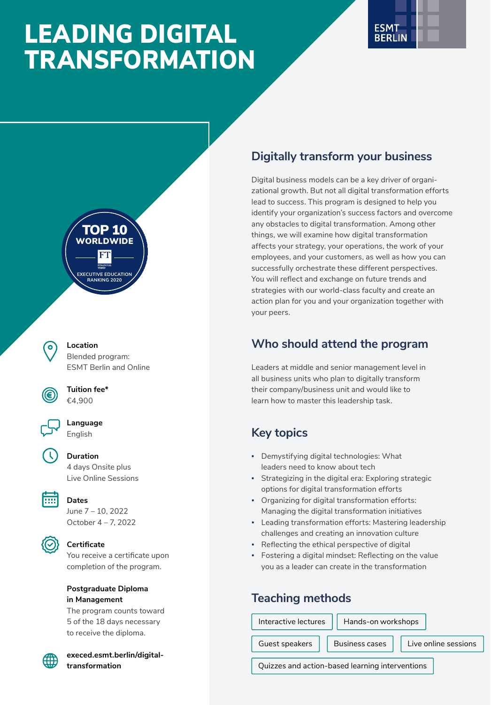# LEADING DIGITAL TRANSFORMATION





**Location** Blended program: ESMT Berlin and Online



**Tuition fee\*** €4,900

**Language** English



**Duration**

4 days Onsite plus Live Online Sessions



# **Dates**

June 7 – 10, 2022 October 4 – 7, 2022



### **Certificate**

You receive a certificate upon completion of the program.

### **Postgraduate Diploma in Management**

The program counts toward 5 of the 18 days necessary to receive the diploma.

**[execed.esmt.berlin/digital](https://execed.esmt.berlin/digital-transformation)[transformation](https://execed.esmt.berlin/digital-transformation)**

# **Digitally transform your business**

Digital business models can be a key driver of organizational growth. But not all digital transformation efforts lead to success. This program is designed to help you identify your organization's success factors and overcome any obstacles to digital transformation. Among other things, we will examine how digital transformation affects your strategy, your operations, the work of your employees, and your customers, as well as how you can successfully orchestrate these different perspectives. You will reflect and exchange on future trends and strategies with our world-class faculty and create an action plan for you and your organization together with your peers.

# **Who should attend the program**

Leaders at middle and senior management level in all business units who plan to digitally transform their company/business unit and would like to learn how to master this leadership task.

# **Key topics**

- Demystifying digital technologies: What leaders need to know about tech
- Strategizing in the digital era: Exploring strategic options for digital transformation efforts
- Organizing for digital transformation efforts: Managing the digital transformation initiatives
- Leading transformation efforts: Mastering leadership challenges and creating an innovation culture
- Reflecting the ethical perspective of digital
- Fostering a digital mindset: Reflecting on the value you as a leader can create in the transformation

# **Teaching methods**